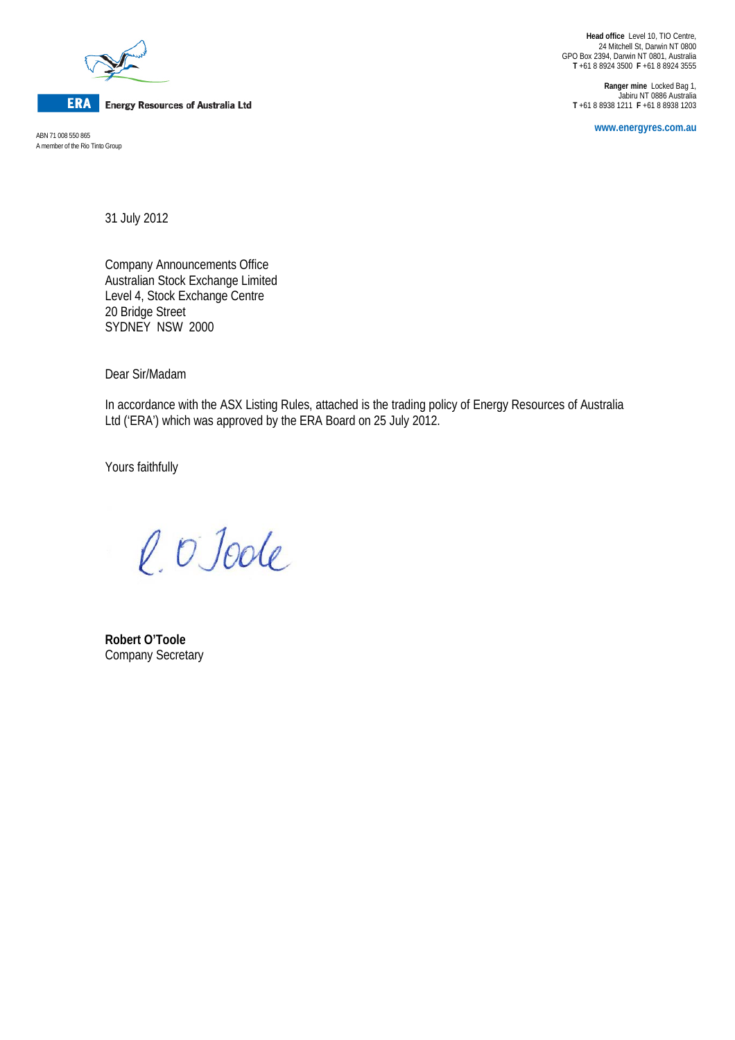

**ERA** Energy Resources of Australia Ltd

A member of the Rio Tinto Group

**Head office** Level 10, TIO Centre, 24 Mitchell St, Darwin NT 0800 GPO Box 2394, Darwin NT 0801, Australia **T** +61 8 8924 3500 **F** +61 8 8924 3555

**Ranger mine** Locked Bag 1, Jabiru NT 0886 Australia **T** +61 8 8938 1211 **F** +61 8 8938 1203

**www.energyres.com.au** ABN 71 008 550 865

31 July 2012

Company Announcements Office Australian Stock Exchange Limited Level 4, Stock Exchange Centre 20 Bridge Street SYDNEY NSW 2000

Dear Sir/Madam

In accordance with the ASX Listing Rules, attached is the trading policy of Energy Resources of Australia Ltd ('ERA') which was approved by the ERA Board on 25 July 2012.

Yours faithfully

l. O Joole

**Robert O'Toole** Company Secretary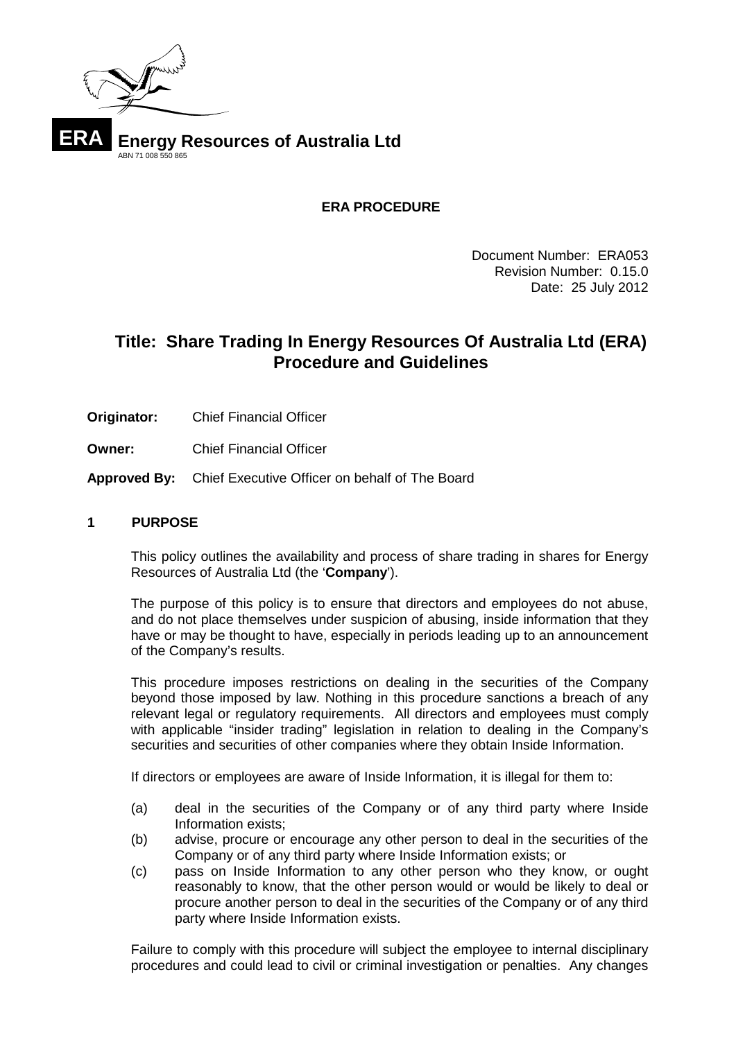

**ERA PROCEDURE**

Document Number: ERA053 Revision Number: 0.15.0 Date: 25 July 2012

# **Title: Share Trading In Energy Resources Of Australia Ltd (ERA) Procedure and Guidelines**

- **Originator:** Chief Financial Officer
- **Owner:** Chief Financial Officer

**Approved By:** Chief Executive Officer on behalf of The Board

## **1 PURPOSE**

This policy outlines the availability and process of share trading in shares for Energy Resources of Australia Ltd (the '**Company**').

The purpose of this policy is to ensure that directors and employees do not abuse, and do not place themselves under suspicion of abusing, inside information that they have or may be thought to have, especially in periods leading up to an announcement of the Company's results.

This procedure imposes restrictions on dealing in the securities of the Company beyond those imposed by law. Nothing in this procedure sanctions a breach of any relevant legal or regulatory requirements. All directors and employees must comply with applicable "insider trading" legislation in relation to dealing in the Company's securities and securities of other companies where they obtain Inside Information.

If directors or employees are aware of Inside Information, it is illegal for them to:

- (a) deal in the securities of the Company or of any third party where Inside Information exists;
- (b) advise, procure or encourage any other person to deal in the securities of the Company or of any third party where Inside Information exists; or
- (c) pass on Inside Information to any other person who they know, or ought reasonably to know, that the other person would or would be likely to deal or procure another person to deal in the securities of the Company or of any third party where Inside Information exists.

Failure to comply with this procedure will subject the employee to internal disciplinary procedures and could lead to civil or criminal investigation or penalties. Any changes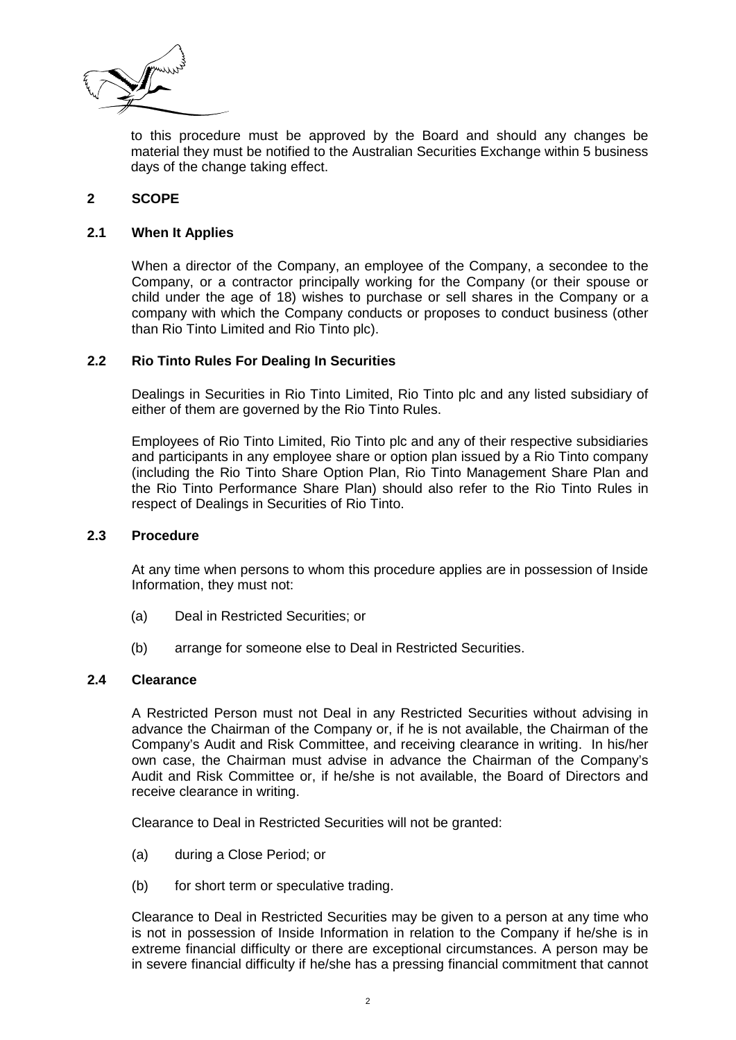

to this procedure must be approved by the Board and should any changes be material they must be notified to the Australian Securities Exchange within 5 business days of the change taking effect.

## **2 SCOPE**

#### **2.1 When It Applies**

When a director of the Company, an employee of the Company, a secondee to the Company, or a contractor principally working for the Company (or their spouse or child under the age of 18) wishes to purchase or sell shares in the Company or a company with which the Company conducts or proposes to conduct business (other than Rio Tinto Limited and Rio Tinto plc).

#### **2.2 Rio Tinto Rules For Dealing In Securities**

Dealings in Securities in Rio Tinto Limited, Rio Tinto plc and any listed subsidiary of either of them are governed by the Rio Tinto Rules.

Employees of Rio Tinto Limited, Rio Tinto plc and any of their respective subsidiaries and participants in any employee share or option plan issued by a Rio Tinto company (including the Rio Tinto Share Option Plan, Rio Tinto Management Share Plan and the Rio Tinto Performance Share Plan) should also refer to the Rio Tinto Rules in respect of Dealings in Securities of Rio Tinto.

#### **2.3 Procedure**

At any time when persons to whom this procedure applies are in possession of Inside Information, they must not:

- (a) Deal in Restricted Securities; or
- (b) arrange for someone else to Deal in Restricted Securities.

#### **2.4 Clearance**

A Restricted Person must not Deal in any Restricted Securities without advising in advance the Chairman of the Company or, if he is not available, the Chairman of the Company's Audit and Risk Committee, and receiving clearance in writing. In his/her own case, the Chairman must advise in advance the Chairman of the Company's Audit and Risk Committee or, if he/she is not available, the Board of Directors and receive clearance in writing.

Clearance to Deal in Restricted Securities will not be granted:

- (a) during a Close Period; or
- (b) for short term or speculative trading.

Clearance to Deal in Restricted Securities may be given to a person at any time who is not in possession of Inside Information in relation to the Company if he/she is in extreme financial difficulty or there are exceptional circumstances. A person may be in severe financial difficulty if he/she has a pressing financial commitment that cannot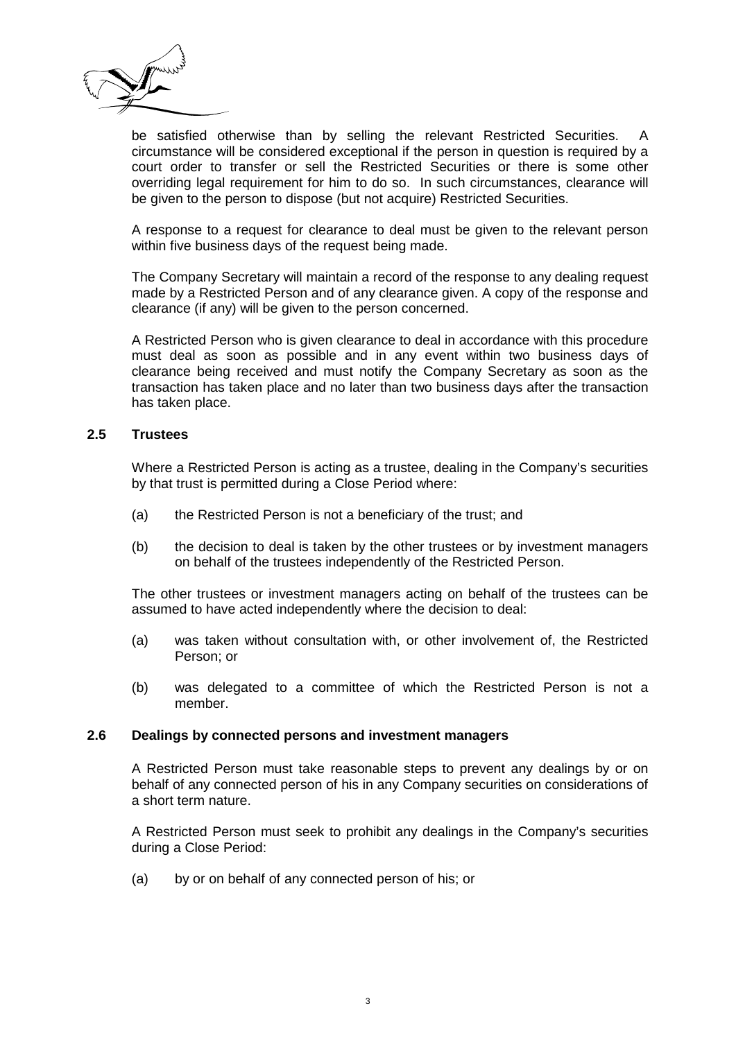

be satisfied otherwise than by selling the relevant Restricted Securities. A circumstance will be considered exceptional if the person in question is required by a court order to transfer or sell the Restricted Securities or there is some other overriding legal requirement for him to do so. In such circumstances, clearance will be given to the person to dispose (but not acquire) Restricted Securities.

A response to a request for clearance to deal must be given to the relevant person within five business days of the request being made.

The Company Secretary will maintain a record of the response to any dealing request made by a Restricted Person and of any clearance given. A copy of the response and clearance (if any) will be given to the person concerned.

A Restricted Person who is given clearance to deal in accordance with this procedure must deal as soon as possible and in any event within two business days of clearance being received and must notify the Company Secretary as soon as the transaction has taken place and no later than two business days after the transaction has taken place.

#### **2.5 Trustees**

Where a Restricted Person is acting as a trustee, dealing in the Company's securities by that trust is permitted during a Close Period where:

- (a) the Restricted Person is not a beneficiary of the trust; and
- (b) the decision to deal is taken by the other trustees or by investment managers on behalf of the trustees independently of the Restricted Person.

The other trustees or investment managers acting on behalf of the trustees can be assumed to have acted independently where the decision to deal:

- (a) was taken without consultation with, or other involvement of, the Restricted Person; or
- (b) was delegated to a committee of which the Restricted Person is not a member.

#### **2.6 Dealings by connected persons and investment managers**

A Restricted Person must take reasonable steps to prevent any dealings by or on behalf of any connected person of his in any Company securities on considerations of a short term nature.

A Restricted Person must seek to prohibit any dealings in the Company's securities during a Close Period:

(a) by or on behalf of any connected person of his; or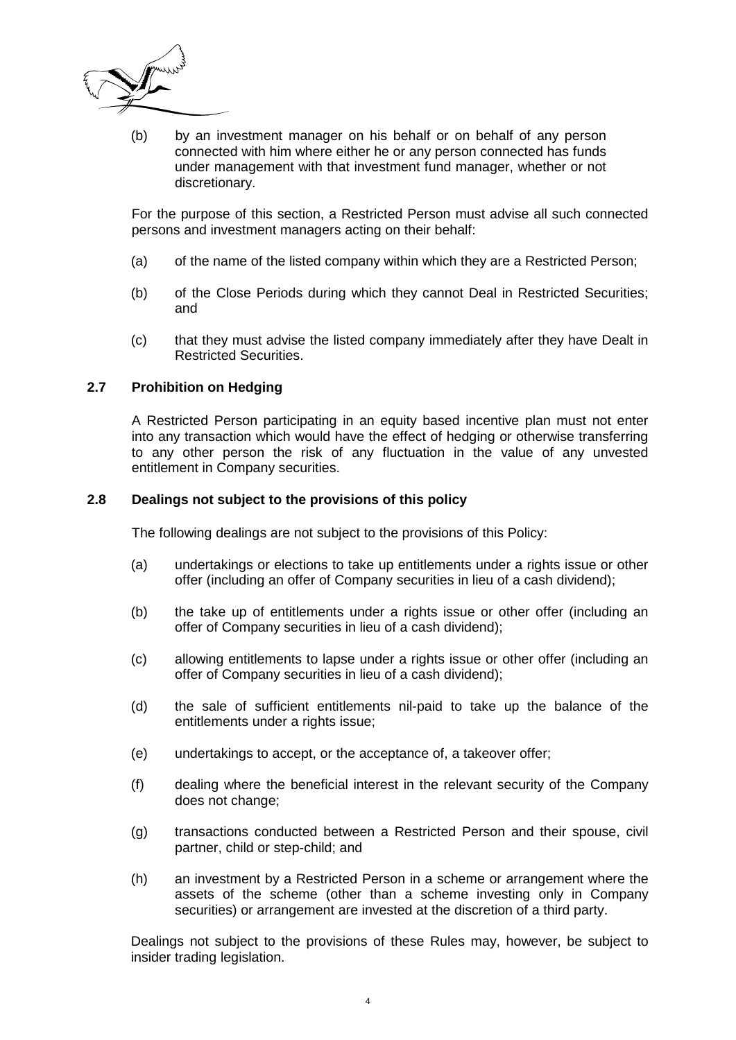

(b) by an investment manager on his behalf or on behalf of any person connected with him where either he or any person connected has funds under management with that investment fund manager, whether or not discretionary.

For the purpose of this section, a Restricted Person must advise all such connected persons and investment managers acting on their behalf:

- (a) of the name of the listed company within which they are a Restricted Person;
- (b) of the Close Periods during which they cannot Deal in Restricted Securities; and
- (c) that they must advise the listed company immediately after they have Dealt in Restricted Securities.

## **2.7 Prohibition on Hedging**

A Restricted Person participating in an equity based incentive plan must not enter into any transaction which would have the effect of hedging or otherwise transferring to any other person the risk of any fluctuation in the value of any unvested entitlement in Company securities.

#### **2.8 Dealings not subject to the provisions of this policy**

The following dealings are not subject to the provisions of this Policy:

- (a) undertakings or elections to take up entitlements under a rights issue or other offer (including an offer of Company securities in lieu of a cash dividend);
- (b) the take up of entitlements under a rights issue or other offer (including an offer of Company securities in lieu of a cash dividend);
- (c) allowing entitlements to lapse under a rights issue or other offer (including an offer of Company securities in lieu of a cash dividend);
- (d) the sale of sufficient entitlements nil-paid to take up the balance of the entitlements under a rights issue:
- (e) undertakings to accept, or the acceptance of, a takeover offer;
- (f) dealing where the beneficial interest in the relevant security of the Company does not change;
- (g) transactions conducted between a Restricted Person and their spouse, civil partner, child or step-child; and
- (h) an investment by a Restricted Person in a scheme or arrangement where the assets of the scheme (other than a scheme investing only in Company securities) or arrangement are invested at the discretion of a third party.

Dealings not subject to the provisions of these Rules may, however, be subject to insider trading legislation.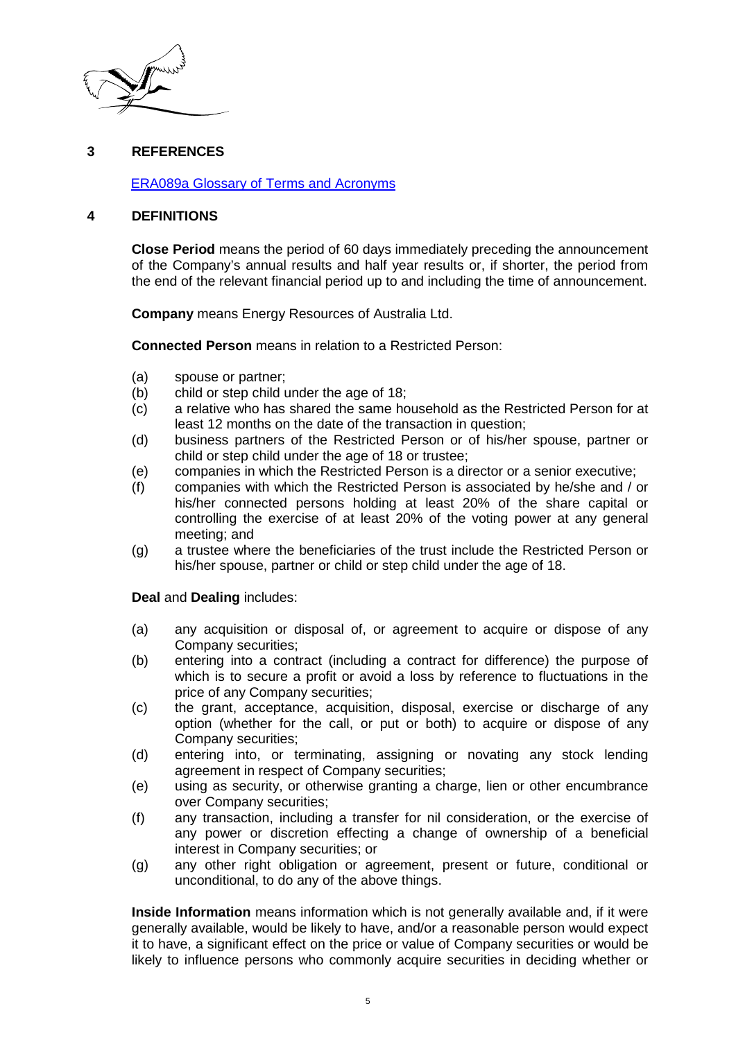

## **3 REFERENCES**

ERA089a Glossary of Terms and Acronyms

#### **4 DEFINITIONS**

**Close Period** means the period of 60 days immediately preceding the announcement of the Company's annual results and half year results or, if shorter, the period from the end of the relevant financial period up to and including the time of announcement.

**Company** means Energy Resources of Australia Ltd.

**Connected Person** means in relation to a Restricted Person:

- (a) spouse or partner;
- (b) child or step child under the age of 18;
- (c) a relative who has shared the same household as the Restricted Person for at least 12 months on the date of the transaction in question;
- (d) business partners of the Restricted Person or of his/her spouse, partner or child or step child under the age of 18 or trustee;
- (e) companies in which the Restricted Person is a director or a senior executive;
- (f) companies with which the Restricted Person is associated by he/she and / or his/her connected persons holding at least 20% of the share capital or controlling the exercise of at least 20% of the voting power at any general meeting; and
- (g) a trustee where the beneficiaries of the trust include the Restricted Person or his/her spouse, partner or child or step child under the age of 18.

#### **Deal** and **Dealing** includes:

- (a) any acquisition or disposal of, or agreement to acquire or dispose of any Company securities;
- (b) entering into a contract (including a contract for difference) the purpose of which is to secure a profit or avoid a loss by reference to fluctuations in the price of any Company securities;
- (c) the grant, acceptance, acquisition, disposal, exercise or discharge of any option (whether for the call, or put or both) to acquire or dispose of any Company securities;
- (d) entering into, or terminating, assigning or novating any stock lending agreement in respect of Company securities;
- (e) using as security, or otherwise granting a charge, lien or other encumbrance over Company securities;
- (f) any transaction, including a transfer for nil consideration, or the exercise of any power or discretion effecting a change of ownership of a beneficial interest in Company securities; or
- (g) any other right obligation or agreement, present or future, conditional or unconditional, to do any of the above things.

**Inside Information** means information which is not generally available and, if it were generally available, would be likely to have, and/or a reasonable person would expect it to have, a significant effect on the price or value of Company securities or would be likely to influence persons who commonly acquire securities in deciding whether or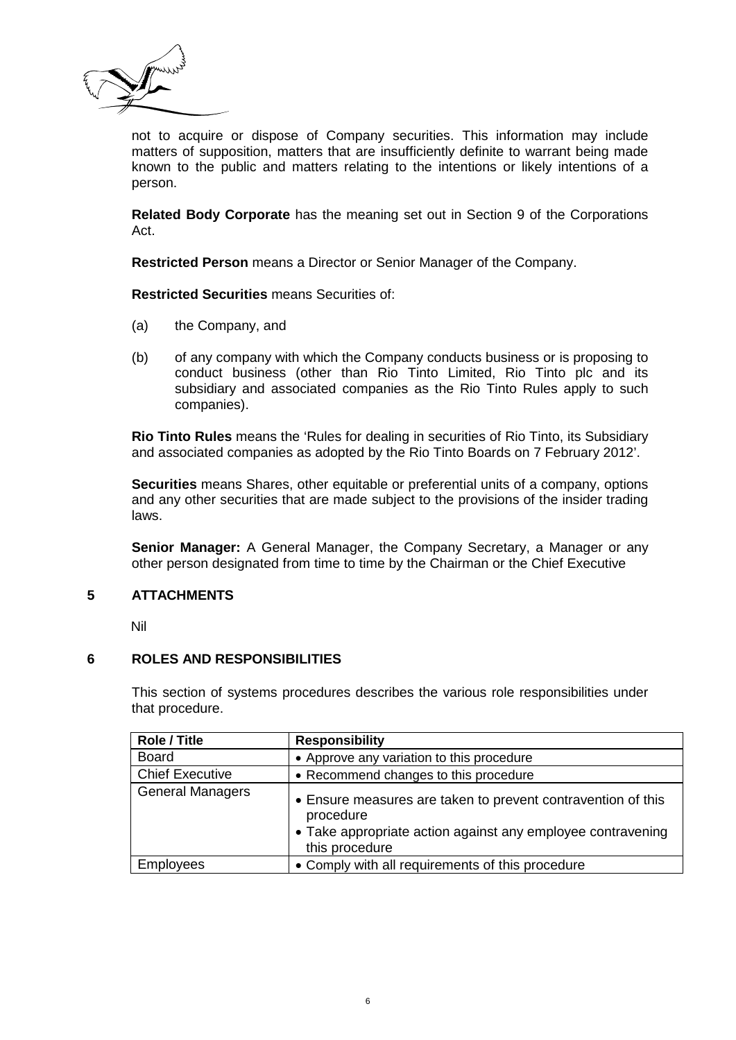

not to acquire or dispose of Company securities. This information may include matters of supposition, matters that are insufficiently definite to warrant being made known to the public and matters relating to the intentions or likely intentions of a person.

**Related Body Corporate** has the meaning set out in Section 9 of the Corporations Act.

**Restricted Person** means a Director or Senior Manager of the Company.

**Restricted Securities** means Securities of:

- (a) the Company, and
- (b) of any company with which the Company conducts business or is proposing to conduct business (other than Rio Tinto Limited, Rio Tinto plc and its subsidiary and associated companies as the Rio Tinto Rules apply to such companies).

**Rio Tinto Rules** means the 'Rules for dealing in securities of Rio Tinto, its Subsidiary and associated companies as adopted by the Rio Tinto Boards on 7 February 2012'.

**Securities** means Shares, other equitable or preferential units of a company, options and any other securities that are made subject to the provisions of the insider trading laws.

**Senior Manager:** A General Manager, the Company Secretary, a Manager or any other person designated from time to time by the Chairman or the Chief Executive

## **5 ATTACHMENTS**

Nil

## **6 ROLES AND RESPONSIBILITIES**

This section of systems procedures describes the various role responsibilities under that procedure.

| <b>Role / Title</b>     | <b>Responsibility</b>                                                                                                                                      |  |  |
|-------------------------|------------------------------------------------------------------------------------------------------------------------------------------------------------|--|--|
| <b>Board</b>            | • Approve any variation to this procedure                                                                                                                  |  |  |
| <b>Chief Executive</b>  | • Recommend changes to this procedure                                                                                                                      |  |  |
| <b>General Managers</b> | • Ensure measures are taken to prevent contravention of this<br>procedure<br>• Take appropriate action against any employee contravening<br>this procedure |  |  |
| <b>Employees</b>        | • Comply with all requirements of this procedure                                                                                                           |  |  |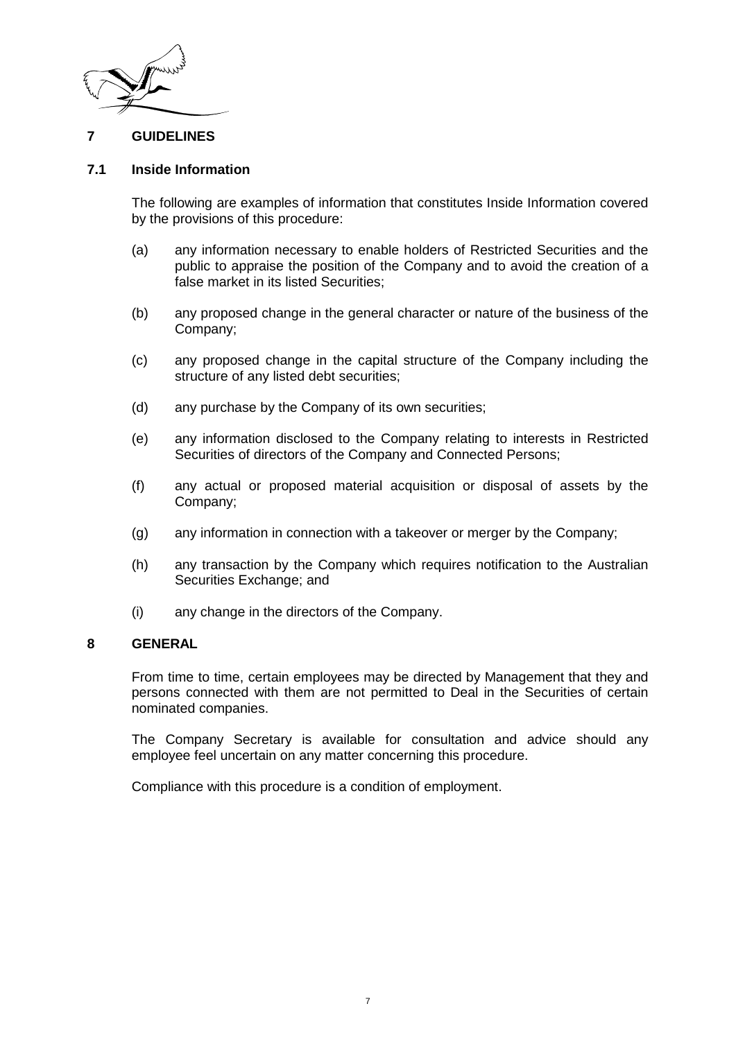

## **7 GUIDELINES**

## **7.1 Inside Information**

The following are examples of information that constitutes Inside Information covered by the provisions of this procedure:

- (a) any information necessary to enable holders of Restricted Securities and the public to appraise the position of the Company and to avoid the creation of a false market in its listed Securities;
- (b) any proposed change in the general character or nature of the business of the Company;
- (c) any proposed change in the capital structure of the Company including the structure of any listed debt securities;
- (d) any purchase by the Company of its own securities;
- (e) any information disclosed to the Company relating to interests in Restricted Securities of directors of the Company and Connected Persons;
- (f) any actual or proposed material acquisition or disposal of assets by the Company;
- (g) any information in connection with a takeover or merger by the Company;
- (h) any transaction by the Company which requires notification to the Australian Securities Exchange; and
- (i) any change in the directors of the Company.

#### **8 GENERAL**

From time to time, certain employees may be directed by Management that they and persons connected with them are not permitted to Deal in the Securities of certain nominated companies.

The Company Secretary is available for consultation and advice should any employee feel uncertain on any matter concerning this procedure.

Compliance with this procedure is a condition of employment.